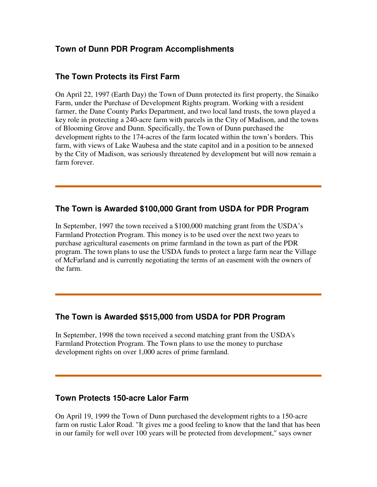# **Town of Dunn PDR Program Accomplishments**

## **The Town Protects its First Farm**

On April 22, 1997 (Earth Day) the Town of Dunn protected its first property, the Sinaiko Farm, under the Purchase of Development Rights program. Working with a resident farmer, the Dane County Parks Department, and two local land trusts, the town played a key role in protecting a 240-acre farm with parcels in the City of Madison, and the towns of Blooming Grove and Dunn. Specifically, the Town of Dunn purchased the development rights to the 174-acres of the farm located within the town's borders. This farm, with views of Lake Waubesa and the state capitol and in a position to be annexed by the City of Madison, was seriously threatened by development but will now remain a farm forever.

# **The Town is Awarded \$100,000 Grant from USDA for PDR Program**

In September, 1997 the town received a \$100,000 matching grant from the USDA's Farmland Protection Program. This money is to be used over the next two years to purchase agricultural easements on prime farmland in the town as part of the PDR program. The town plans to use the USDA funds to protect a large farm near the Village of McFarland and is currently negotiating the terms of an easement with the owners of the farm.

# **The Town is Awarded \$515,000 from USDA for PDR Program**

In September, 1998 the town received a second matching grant from the USDA's Farmland Protection Program. The Town plans to use the money to purchase development rights on over 1,000 acres of prime farmland.

# **Town Protects 150-acre Lalor Farm**

On April 19, 1999 the Town of Dunn purchased the development rights to a 150-acre farm on rustic Lalor Road. "It gives me a good feeling to know that the land that has been in our family for well over 100 years will be protected from development," says owner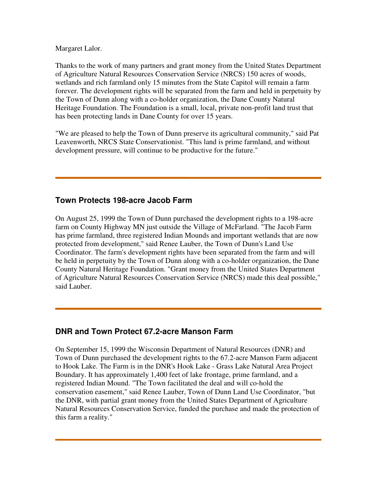Margaret Lalor.

Thanks to the work of many partners and grant money from the United States Department of Agriculture Natural Resources Conservation Service (NRCS) 150 acres of woods, wetlands and rich farmland only 15 minutes from the State Capitol will remain a farm forever. The development rights will be separated from the farm and held in perpetuity by the Town of Dunn along with a co-holder organization, the Dane County Natural Heritage Foundation. The Foundation is a small, local, private non-profit land trust that has been protecting lands in Dane County for over 15 years.

"We are pleased to help the Town of Dunn preserve its agricultural community," said Pat Leavenworth, NRCS State Conservationist. "This land is prime farmland, and without development pressure, will continue to be productive for the future."

# **Town Protects 198-acre Jacob Farm**

On August 25, 1999 the Town of Dunn purchased the development rights to a 198-acre farm on County Highway MN just outside the Village of McFarland. "The Jacob Farm has prime farmland, three registered Indian Mounds and important wetlands that are now protected from development," said Renee Lauber, the Town of Dunn's Land Use Coordinator. The farm's development rights have been separated from the farm and will be held in perpetuity by the Town of Dunn along with a co-holder organization, the Dane County Natural Heritage Foundation. "Grant money from the United States Department of Agriculture Natural Resources Conservation Service (NRCS) made this deal possible," said Lauber.

# **DNR and Town Protect 67.2-acre Manson Farm**

On September 15, 1999 the Wisconsin Department of Natural Resources (DNR) and Town of Dunn purchased the development rights to the 67.2-acre Manson Farm adjacent to Hook Lake. The Farm is in the DNR's Hook Lake - Grass Lake Natural Area Project Boundary. It has approximately 1,400 feet of lake frontage, prime farmland, and a registered Indian Mound. "The Town facilitated the deal and will co-hold the conservation easement," said Renee Lauber, Town of Dunn Land Use Coordinator, "but the DNR, with partial grant money from the United States Department of Agriculture Natural Resources Conservation Service, funded the purchase and made the protection of this farm a reality."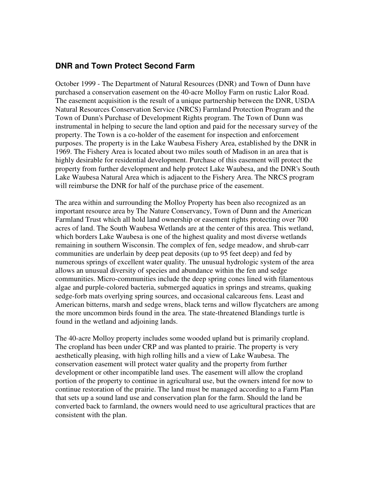## **DNR and Town Protect Second Farm**

October 1999 - The Department of Natural Resources (DNR) and Town of Dunn have purchased a conservation easement on the 40-acre Molloy Farm on rustic Lalor Road. The easement acquisition is the result of a unique partnership between the DNR, USDA Natural Resources Conservation Service (NRCS) Farmland Protection Program and the Town of Dunn's Purchase of Development Rights program. The Town of Dunn was instrumental in helping to secure the land option and paid for the necessary survey of the property. The Town is a co-holder of the easement for inspection and enforcement purposes. The property is in the Lake Waubesa Fishery Area, established by the DNR in 1969. The Fishery Area is located about two miles south of Madison in an area that is highly desirable for residential development. Purchase of this easement will protect the property from further development and help protect Lake Waubesa, and the DNR's South Lake Waubesa Natural Area which is adjacent to the Fishery Area. The NRCS program will reimburse the DNR for half of the purchase price of the easement.

The area within and surrounding the Molloy Property has been also recognized as an important resource area by The Nature Conservancy, Town of Dunn and the American Farmland Trust which all hold land ownership or easement rights protecting over 700 acres of land. The South Waubesa Wetlands are at the center of this area. This wetland, which borders Lake Waubesa is one of the highest quality and most diverse wetlands remaining in southern Wisconsin. The complex of fen, sedge meadow, and shrub-carr communities are underlain by deep peat deposits (up to 95 feet deep) and fed by numerous springs of excellent water quality. The unusual hydrologic system of the area allows an unusual diversity of species and abundance within the fen and sedge communities. Micro-communities include the deep spring cones lined with filamentous algae and purple-colored bacteria, submerged aquatics in springs and streams, quaking sedge-forb mats overlying spring sources, and occasional calcareous fens. Least and American bitterns, marsh and sedge wrens, black terns and willow flycatchers are among the more uncommon birds found in the area. The state-threatened Blandings turtle is found in the wetland and adjoining lands.

The 40-acre Molloy property includes some wooded upland but is primarily cropland. The cropland has been under CRP and was planted to prairie. The property is very aesthetically pleasing, with high rolling hills and a view of Lake Waubesa. The conservation easement will protect water quality and the property from further development or other incompatible land uses. The easement will allow the cropland portion of the property to continue in agricultural use, but the owners intend for now to continue restoration of the prairie. The land must be managed according to a Farm Plan that sets up a sound land use and conservation plan for the farm. Should the land be converted back to farmland, the owners would need to use agricultural practices that are consistent with the plan.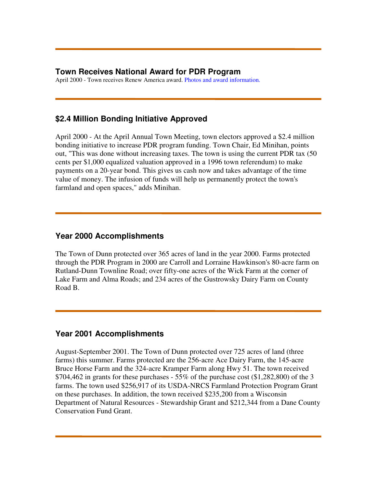### **Town Receives National Award for PDR Program**

April 2000 - Town receives Renew America award. Photos and award information.

## **\$2.4 Million Bonding Initiative Approved**

April 2000 - At the April Annual Town Meeting, town electors approved a \$2.4 million bonding initiative to increase PDR program funding. Town Chair, Ed Minihan, points out, "This was done without increasing taxes. The town is using the current PDR tax (50 cents per \$1,000 equalized valuation approved in a 1996 town referendum) to make payments on a 20-year bond. This gives us cash now and takes advantage of the time value of money. The infusion of funds will help us permanently protect the town's farmland and open spaces," adds Minihan.

## **Year 2000 Accomplishments**

The Town of Dunn protected over 365 acres of land in the year 2000. Farms protected through the PDR Program in 2000 are Carroll and Lorraine Hawkinson's 80-acre farm on Rutland-Dunn Townline Road; over fifty-one acres of the Wick Farm at the corner of Lake Farm and Alma Roads; and 234 acres of the Gustrowsky Dairy Farm on County Road B.

### **Year 2001 Accomplishments**

August-September 2001. The Town of Dunn protected over 725 acres of land (three farms) this summer. Farms protected are the 256-acre Ace Dairy Farm, the 145-acre Bruce Horse Farm and the 324-acre Kramper Farm along Hwy 51. The town received  $$704,462$  in grants for these purchases - 55% of the purchase cost (\$1,282,800) of the 3 farms. The town used \$256,917 of its USDA-NRCS Farmland Protection Program Grant on these purchases. In addition, the town received \$235,200 from a Wisconsin Department of Natural Resources - Stewardship Grant and \$212,344 from a Dane County Conservation Fund Grant.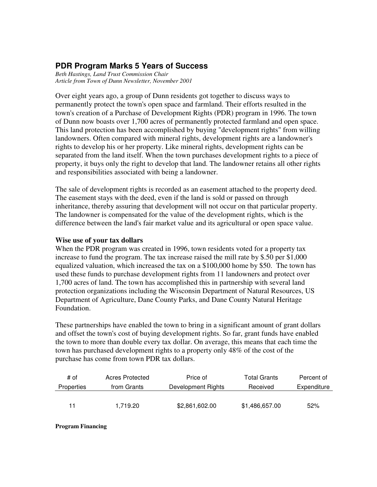# **PDR Program Marks 5 Years of Success**

*Beth Hastings, Land Trust Commission Chair Article from Town of Dunn Newsletter, November 2001*

Over eight years ago, a group of Dunn residents got together to discuss ways to permanently protect the town's open space and farmland. Their efforts resulted in the town's creation of a Purchase of Development Rights (PDR) program in 1996. The town of Dunn now boasts over 1,700 acres of permanently protected farmland and open space. This land protection has been accomplished by buying "development rights" from willing landowners. Often compared with mineral rights, development rights are a landowner's rights to develop his or her property. Like mineral rights, development rights can be separated from the land itself. When the town purchases development rights to a piece of property, it buys only the right to develop that land. The landowner retains all other rights and responsibilities associated with being a landowner.

The sale of development rights is recorded as an easement attached to the property deed. The easement stays with the deed, even if the land is sold or passed on through inheritance, thereby assuring that development will not occur on that particular property. The landowner is compensated for the value of the development rights, which is the difference between the land's fair market value and its agricultural or open space value.

#### **Wise use of your tax dollars**

When the PDR program was created in 1996, town residents voted for a property tax increase to fund the program. The tax increase raised the mill rate by \$.50 per \$1,000 equalized valuation, which increased the tax on a \$100,000 home by \$50. The town has used these funds to purchase development rights from 11 landowners and protect over 1,700 acres of land. The town has accomplished this in partnership with several land protection organizations including the Wisconsin Department of Natural Resources, US Department of Agriculture, Dane County Parks, and Dane County Natural Heritage Foundation.

These partnerships have enabled the town to bring in a significant amount of grant dollars and offset the town's cost of buying development rights. So far, grant funds have enabled the town to more than double every tax dollar. On average, this means that each time the town has purchased development rights to a property only 48% of the cost of the purchase has come from town PDR tax dollars.

| # of       | Acres Protected | Price of           | <b>Total Grants</b> | Percent of  |
|------------|-----------------|--------------------|---------------------|-------------|
| Properties | from Grants     | Development Rights | Received            | Expenditure |
|            |                 |                    |                     |             |
| 11         | 1.719.20        | \$2,861,602.00     | \$1,486,657.00      | 52%         |

**Program Financing**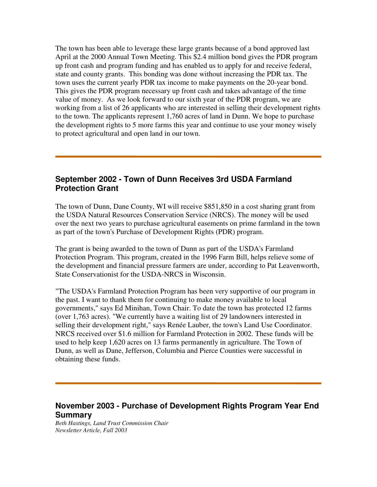The town has been able to leverage these large grants because of a bond approved last April at the 2000 Annual Town Meeting. This \$2.4 million bond gives the PDR program up front cash and program funding and has enabled us to apply for and receive federal, state and county grants. This bonding was done without increasing the PDR tax. The town uses the current yearly PDR tax income to make payments on the 20-year bond. This gives the PDR program necessary up front cash and takes advantage of the time value of money. As we look forward to our sixth year of the PDR program, we are working from a list of 26 applicants who are interested in selling their development rights to the town. The applicants represent 1,760 acres of land in Dunn. We hope to purchase the development rights to 5 more farms this year and continue to use your money wisely to protect agricultural and open land in our town.

### **September 2002 - Town of Dunn Receives 3rd USDA Farmland Protection Grant**

The town of Dunn, Dane County, WI will receive \$851,850 in a cost sharing grant from the USDA Natural Resources Conservation Service (NRCS). The money will be used over the next two years to purchase agricultural easements on prime farmland in the town as part of the town's Purchase of Development Rights (PDR) program.

The grant is being awarded to the town of Dunn as part of the USDA's Farmland Protection Program. This program, created in the 1996 Farm Bill, helps relieve some of the development and financial pressure farmers are under, according to Pat Leavenworth, State Conservationist for the USDA-NRCS in Wisconsin.

"The USDA's Farmland Protection Program has been very supportive of our program in the past. I want to thank them for continuing to make money available to local governments," says Ed Minihan, Town Chair. To date the town has protected 12 farms (over 1,763 acres). "We currently have a waiting list of 29 landowners interested in selling their development right," says Renée Lauber, the town's Land Use Coordinator. NRCS received over \$1.6 million for Farmland Protection in 2002. These funds will be used to help keep 1,620 acres on 13 farms permanently in agriculture. The Town of Dunn, as well as Dane, Jefferson, Columbia and Pierce Counties were successful in obtaining these funds.

### **November 2003 - Purchase of Development Rights Program Year End Summary**

*Beth Hastings, Land Trust Commission Chair Newsletter Article, Fall 2003*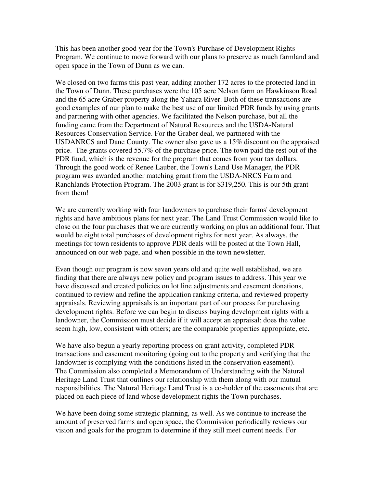This has been another good year for the Town's Purchase of Development Rights Program. We continue to move forward with our plans to preserve as much farmland and open space in the Town of Dunn as we can.

We closed on two farms this past year, adding another 172 acres to the protected land in the Town of Dunn. These purchases were the 105 acre Nelson farm on Hawkinson Road and the 65 acre Graber property along the Yahara River. Both of these transactions are good examples of our plan to make the best use of our limited PDR funds by using grants and partnering with other agencies. We facilitated the Nelson purchase, but all the funding came from the Department of Natural Resources and the USDA-Natural Resources Conservation Service. For the Graber deal, we partnered with the USDANRCS and Dane County. The owner also gave us a 15% discount on the appraised price. The grants covered 55.7% of the purchase price. The town paid the rest out of the PDR fund, which is the revenue for the program that comes from your tax dollars. Through the good work of Renee Lauber, the Town's Land Use Manager, the PDR program was awarded another matching grant from the USDA-NRCS Farm and Ranchlands Protection Program. The 2003 grant is for \$319,250. This is our 5th grant from them!

We are currently working with four landowners to purchase their farms' development rights and have ambitious plans for next year. The Land Trust Commission would like to close on the four purchases that we are currently working on plus an additional four. That would be eight total purchases of development rights for next year. As always, the meetings for town residents to approve PDR deals will be posted at the Town Hall, announced on our web page, and when possible in the town newsletter.

Even though our program is now seven years old and quite well established, we are finding that there are always new policy and program issues to address. This year we have discussed and created policies on lot line adjustments and easement donations, continued to review and refine the application ranking criteria, and reviewed property appraisals. Reviewing appraisals is an important part of our process for purchasing development rights. Before we can begin to discuss buying development rights with a landowner, the Commission must decide if it will accept an appraisal: does the value seem high, low, consistent with others; are the comparable properties appropriate, etc.

We have also begun a yearly reporting process on grant activity, completed PDR transactions and easement monitoring (going out to the property and verifying that the landowner is complying with the conditions listed in the conservation easement). The Commission also completed a Memorandum of Understanding with the Natural Heritage Land Trust that outlines our relationship with them along with our mutual responsibilities. The Natural Heritage Land Trust is a co-holder of the easements that are placed on each piece of land whose development rights the Town purchases.

We have been doing some strategic planning, as well. As we continue to increase the amount of preserved farms and open space, the Commission periodically reviews our vision and goals for the program to determine if they still meet current needs. For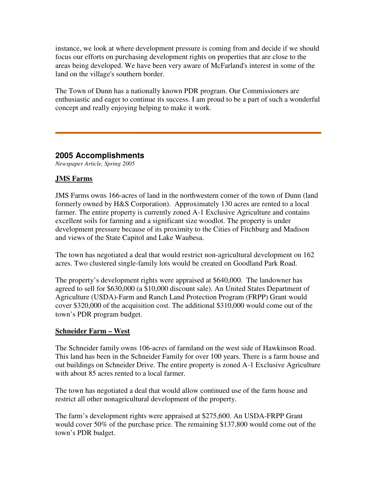instance, we look at where development pressure is coming from and decide if we should focus our efforts on purchasing development rights on properties that are close to the areas being developed. We have been very aware of McFarland's interest in some of the land on the village's southern border.

The Town of Dunn has a nationally known PDR program. Our Commissioners are enthusiastic and eager to continue its success. I am proud to be a part of such a wonderful concept and really enjoying helping to make it work.

### **2005 Accomplishments**

*Newspaper Article, Spring 2005*

### **JMS Farms**

JMS Farms owns 166-acres of land in the northwestern corner of the town of Dunn (land formerly owned by H&S Corporation). Approximately 130 acres are rented to a local farmer. The entire property is currently zoned A-1 Exclusive Agriculture and contains excellent soils for farming and a significant size woodlot. The property is under development pressure because of its proximity to the Cities of Fitchburg and Madison and views of the State Capitol and Lake Waubesa.

The town has negotiated a deal that would restrict non-agricultural development on 162 acres. Two clustered single-family lots would be created on Goodland Park Road.

The property's development rights were appraised at \$640,000. The landowner has agreed to sell for \$630,000 (a \$10,000 discount sale). An United States Department of Agriculture (USDA)-Farm and Ranch Land Protection Program (FRPP) Grant would cover \$320,000 of the acquisition cost. The additional \$310,000 would come out of the town's PDR program budget.

### **Schneider Farm – West**

The Schneider family owns 106-acres of farmland on the west side of Hawkinson Road. This land has been in the Schneider Family for over 100 years. There is a farm house and out buildings on Schneider Drive. The entire property is zoned A-1 Exclusive Agriculture with about 85 acres rented to a local farmer.

The town has negotiated a deal that would allow continued use of the farm house and restrict all other nonagricultural development of the property.

The farm's development rights were appraised at \$275,600. An USDA-FRPP Grant would cover 50% of the purchase price. The remaining \$137,800 would come out of the town's PDR budget.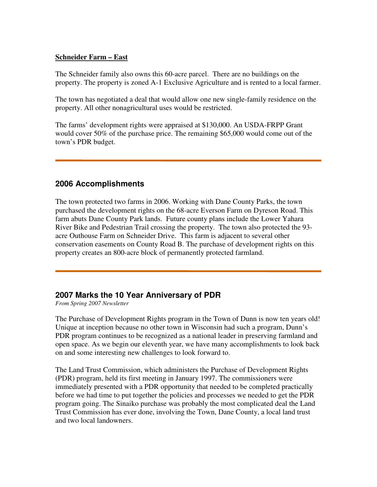#### **Schneider Farm – East**

The Schneider family also owns this 60-acre parcel. There are no buildings on the property. The property is zoned A-1 Exclusive Agriculture and is rented to a local farmer.

The town has negotiated a deal that would allow one new single-family residence on the property. All other nonagricultural uses would be restricted.

The farms' development rights were appraised at \$130,000. An USDA-FRPP Grant would cover 50% of the purchase price. The remaining \$65,000 would come out of the town's PDR budget.

### **2006 Accomplishments**

The town protected two farms in 2006. Working with Dane County Parks, the town purchased the development rights on the 68-acre Everson Farm on Dyreson Road. This farm abuts Dane County Park lands. Future county plans include the Lower Yahara River Bike and Pedestrian Trail crossing the property. The town also protected the 93 acre Outhouse Farm on Schneider Drive. This farm is adjacent to several other conservation easements on County Road B. The purchase of development rights on this property creates an 800-acre block of permanently protected farmland.

### **2007 Marks the 10 Year Anniversary of PDR**

*From Spring 2007 Newsletter*

The Purchase of Development Rights program in the Town of Dunn is now ten years old! Unique at inception because no other town in Wisconsin had such a program, Dunn's PDR program continues to be recognized as a national leader in preserving farmland and open space. As we begin our eleventh year, we have many accomplishments to look back on and some interesting new challenges to look forward to.

The Land Trust Commission, which administers the Purchase of Development Rights (PDR) program, held its first meeting in January 1997. The commissioners were immediately presented with a PDR opportunity that needed to be completed practically before we had time to put together the policies and processes we needed to get the PDR program going. The Sinaiko purchase was probably the most complicated deal the Land Trust Commission has ever done, involving the Town, Dane County, a local land trust and two local landowners.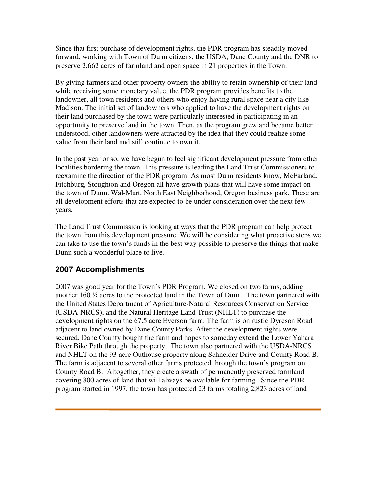Since that first purchase of development rights, the PDR program has steadily moved forward, working with Town of Dunn citizens, the USDA, Dane County and the DNR to preserve 2,662 acres of farmland and open space in 21 properties in the Town.

By giving farmers and other property owners the ability to retain ownership of their land while receiving some monetary value, the PDR program provides benefits to the landowner, all town residents and others who enjoy having rural space near a city like Madison. The initial set of landowners who applied to have the development rights on their land purchased by the town were particularly interested in participating in an opportunity to preserve land in the town. Then, as the program grew and became better understood, other landowners were attracted by the idea that they could realize some value from their land and still continue to own it.

In the past year or so, we have begun to feel significant development pressure from other localities bordering the town. This pressure is leading the Land Trust Commissioners to reexamine the direction of the PDR program. As most Dunn residents know, McFarland, Fitchburg, Stoughton and Oregon all have growth plans that will have some impact on the town of Dunn. Wal-Mart, North East Neighborhood, Oregon business park. These are all development efforts that are expected to be under consideration over the next few years.

The Land Trust Commission is looking at ways that the PDR program can help protect the town from this development pressure. We will be considering what proactive steps we can take to use the town's funds in the best way possible to preserve the things that make Dunn such a wonderful place to live.

# **2007 Accomplishments**

2007 was good year for the Town's PDR Program. We closed on two farms, adding another 160 ½ acres to the protected land in the Town of Dunn. The town partnered with the United States Department of Agriculture-Natural Resources Conservation Service (USDA-NRCS), and the Natural Heritage Land Trust (NHLT) to purchase the development rights on the 67.5 acre Everson farm. The farm is on rustic Dyreson Road adjacent to land owned by Dane County Parks. After the development rights were secured, Dane County bought the farm and hopes to someday extend the Lower Yahara River Bike Path through the property. The town also partnered with the USDA-NRCS and NHLT on the 93 acre Outhouse property along Schneider Drive and County Road B. The farm is adjacent to several other farms protected through the town's program on County Road B. Altogether, they create a swath of permanently preserved farmland covering 800 acres of land that will always be available for farming. Since the PDR program started in 1997, the town has protected 23 farms totaling 2,823 acres of land